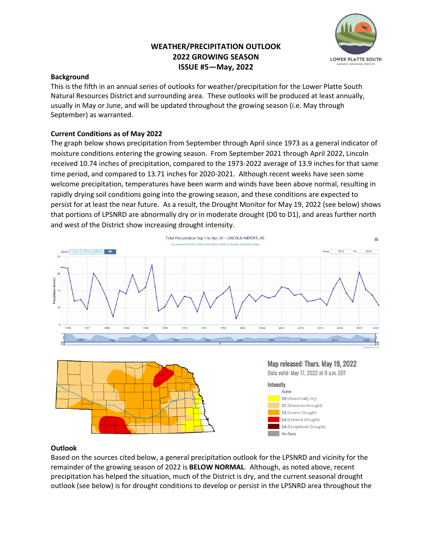# **WEATHER/PRECIPITATION OUTLOOK 2022 GROWING SEASON ISSUE #5—May, 2022**



# **Background**

This is the fifth in an annual series of outlooks for weather/precipitation for the Lower Platte South Natural Resources District and surrounding area. These outlooks will be produced at least annually, usually in May or June, and will be updated throughout the growing season (i.e. May through September) as warranted.

# **Current Conditions as of May 2022**

The graph below shows precipitation from September through April since 1973 as a general indicator of moisture conditions entering the growing season. From September 2021 through April 2022, Lincoln received 10.74 inches of precipitation, compared to the 1973-2022 average of 13.9 inches for that same time period, and compared to 13.71 inches for 2020-2021. Although recent weeks have seen some welcome precipitation, temperatures have been warm and winds have been above normal, resulting in rapidly drying soil conditions going into the growing season, and these conditions are expected to persist for at least the near future. As a result, the Drought Monitor for May 19, 2022 (see below) shows that portions of LPSNRD are abnormally dry or in moderate drought (D0 to D1), and areas further north and west of the District show increasing drought intensity.





Map released: Thurs. May 19, 2022 Data valid: May 17, 2022 at 8 a.m. EDT



### **Outlook**

Based on the sources cited below, a general precipitation outlook for the LPSNRD and vicinity for the remainder of the growing season of 2022 is **BELOW NORMAL**. Although, as noted above, recent precipitation has helped the situation, much of the District is dry, and the current seasonal drought outlook (see below) is for drought conditions to develop or persist in the LPSNRD area throughout the

i,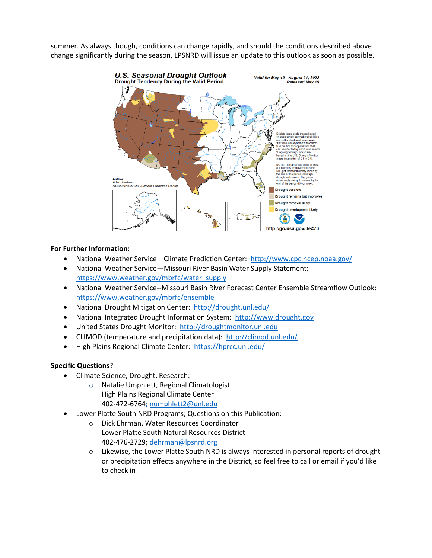summer. As always though, conditions can change rapidly, and should the conditions described above change significantly during the season, LPSNRD will issue an update to this outlook as soon as possible.



### **For Further Information:**

- National Weather Service—Climate Prediction Center: <http://www.cpc.ncep.noaa.gov/>
- National Weather Service—Missouri River Basin Water Supply Statement: [https://www.weather.gov/mbrfc/water\\_supply](https://www.weather.gov/mbrfc/water_supply)
- National Weather Service--Missouri Basin River Forecast Center Ensemble Streamflow Outlook: <https://www.weather.gov/mbrfc/ensemble>
- National Drought Mitigation Center:<http://drought.unl.edu/>
- National Integrated Drought Information System: [http://www.drought.gov](http://www.drought.gov/)
- United States Drought Monitor: [http://droughtmonitor.unl.edu](http://droughtmonitor.unl.edu/)
- CLIMOD (temperature and precipitation data):<http://climod.unl.edu/>
- High Plains Regional Climate Center: <https://hprcc.unl.edu/>

#### **Specific Questions?**

- Climate Science, Drought, Research:
	- o Natalie Umphlett, Regional Climatologist High Plains Regional Climate Center 402-472-6764; [numphlett2@unl.edu](mailto:numphlett2@unl.edu)
- Lower Platte South NRD Programs; Questions on this Publication:
	- o Dick Ehrman, Water Resources Coordinator Lower Platte South Natural Resources District 402-476-2729; [dehrman@lpsnrd.org](mailto:dehrman@lpsnrd.org)
	- o Likewise, the Lower Platte South NRD is always interested in personal reports of drought or precipitation effects anywhere in the District, so feel free to call or email if you'd like to check in!